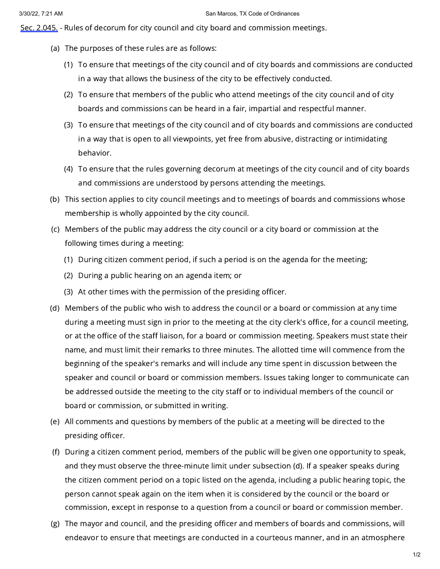Sec. [2.045.](https://www.municode.com/library/tx/san_marcos/codes/code_of_ordinances?nodeId=SPAGEOR_CH2AD_ART2CICO_DIV2ME_S2.045RUDECOBOCOME) - Rules of decorum for city council and city board and commission meetings.

- (a) The purposes of these rules are as follows:
	- (1) To ensure that meetings of the city council and of city boards and commissions are conducted in a way that allows the business of the city to be effectively conducted.
	- (2) To ensure that members of the public who attend meetings of the city council and of city boards and commissions can be heard in a fair, impartial and respectful manner.
	- (3) To ensure that meetings of the city council and of city boards and commissions are conducted in a way that is open to all viewpoints, yet free from abusive, distracting or intimidating behavior.
	- (4) To ensure that the rules governing decorum at meetings of the city council and of city boards and commissions are understood by persons attending the meetings.
- (b) This section applies to city council meetings and to meetings of boards and commissions whose membership is wholly appointed by the city council.
- (c) Members of the public may address the city council or a city board or commission at the following times during a meeting:
	- (1) During citizen comment period, if such a period is on the agenda for the meeting;
	- (2) During a public hearing on an agenda item; or
	- (3) At other times with the permission of the presiding officer.
- (d) Members of the public who wish to address the council or a board or commission at any time during a meeting must sign in prior to the meeting at the city clerk's office, for a council meeting, or at the office of the staff liaison, for a board or commission meeting. Speakers must state their name, and must limit their remarks to three minutes. The allotted time will commence from the beginning of the speaker's remarks and will include any time spent in discussion between the speaker and council or board or commission members. Issues taking longer to communicate can be addressed outside the meeting to the city staff or to individual members of the council or board or commission, or submitted in writing.
- (e) All comments and questions by members of the public at a meeting will be directed to the presiding officer.
- (f) During a citizen comment period, members of the public will be given one opportunity to speak, and they must observe the three-minute limit under subsection (d). If a speaker speaks during the citizen comment period on a topic listed on the agenda, including a public hearing topic, the person cannot speak again on the item when it is considered by the council or the board or commission, except in response to a question from a council or board or commission member.
- (g) The mayor and council, and the presiding officer and members of boards and commissions, will endeavor to ensure that meetings are conducted in a courteous manner, and in an atmosphere